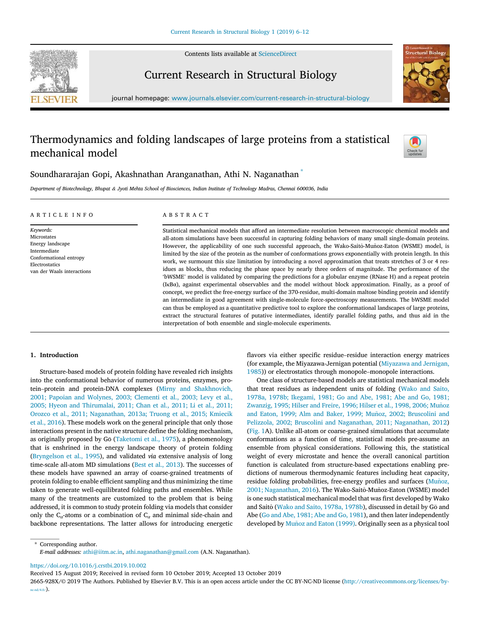

Contents lists available at ScienceDirect

# Current Research in Structural Biology



journal homepage: www.journals.elsevier.com/current-research-in-structural-biology

# Thermodynamics and folding landscapes of large proteins from a statistical mechanical model



Soundhararajan Gopi, Akashnathan Aranganathan, Athi N. Naganathan \*

*Department of Biotechnology, Bhupat* & *Jyoti Mehta School of Biosciences, Indian Institute of Technology Madras, Chennai 600036, India*

#### ARTICLE INFO

van der Waals interactions

*Keywords:* Microstates Energy landscape Intermediate Conformational entropy Electrostatics

# ABSTRACT

Statistical mechanical models that afford an intermediate resolution between macroscopic chemical models and all-atom simulations have been successful in capturing folding behaviors of many small single-domain proteins. However, the applicability of one such successful approach, the Wako-Saitô-Muñoz-Eaton (WSME) model, is limited by the size of the protein as the number of conformations grows exponentially with protein length. In this work, we surmount this size limitation by introducing a novel approximation that treats stretches of 3 or 4 residues as blocks, thus reducing the phase space by nearly three orders of magnitude. The performance of the 'bWSME' model is validated by comparing the predictions for a globular enzyme (RNase H) and a repeat protein (IκBα), against experimental observables and the model without block approximation. Finally, as a proof of concept, we predict the free-energy surface of the 370-residue, multi-domain maltose binding protein and identify an intermediate in good agreement with single-molecule force-spectroscopy measurements. The bWSME model can thus be employed as a quantitative predictive tool to explore the conformational landscapes of large proteins, extract the structural features of putative intermediates, identify parallel folding paths, and thus aid in the interpretation of both ensemble and single-molecule experiments.

# 1. Introduction

Structure-based models of protein folding have revealed rich insights into the conformational behavior of numerous proteins, enzymes, protein–protein and protein-DNA complexes (Mirny and Shakhnovich, 2001; Papoian and Wolynes, 2003; Clementi et al., 2003; Levy et al., 2005; Hyeon and Thirumalai, 2011; Chan et al., 2011; Li et al., 2011; Orozco et al., 2011; Naganathan, 2013a; Truong et al., 2015; Kmiecik et al., 2016). These models work on the general principle that only those interactions present in the native structure define the folding mechanism, as originally proposed by  $G\overline{o}$  (Taketomi et al., 1975), a phenomenology that is enshrined in the energy landscape theory of protein folding (Bryngelson et al., 1995), and validated *via* extensive analysis of long time-scale all-atom MD simulations (Best et al., 2013). The successes of these models have spawned an array of coarse-grained treatments of protein folding to enable efficient sampling and thus minimizing the time taken to generate well-equilibrated folding paths and ensembles. While many of the treatments are customized to the problem that is being addressed, it is common to study protein folding via models that consider only the C<sub>α</sub>-atoms or a combination of C<sub>α</sub> and minimal side-chain and backbone representations. The latter allows for introducing energetic flavors via either specific residue–residue interaction energy matrices (for example, the Miyazawa-Jernigan potential (Miyazawa and Jernigan, 1985)) or electrostatics through monopole–monopole interactions.

One class of structure-based models are statistical mechanical models that treat residues as independent units of folding (Wako and Saito, 1978a, 1978b; Ikegami, 1981; Go and Abe, 1981; Abe and Go, 1981; Zwanzig, 1995; Hilser and Freire, 1996; Hilser et al., 1998, 2006; Muñoz and Eaton, 1999; Alm and Baker, 1999; Muñoz, 2002; Bruscolini and Pelizzola, 2002; Bruscolini and Naganathan, 2011; Naganathan, 2012) (Fig. 1A). Unlike all-atom or coarse-grained simulations that accumulate conformations as a function of time, statistical models pre-assume an ensemble from physical considerations. Following this, the statistical weight of every microstate and hence the overall canonical partition function is calculated from structure-based expectations enabling predictions of numerous thermodynamic features including heat capacity, residue folding probabilities, free-energy profiles and surfaces (Muñoz, 2001; Naganathan, 2016). The Wako-Saitô-Muñoz-Eaton (WSME) model is one such statistical mechanical model that was first developed by Wako and Saitô (Wako and Saito, 1978a, 1978b), discussed in detail by Go and Abe (Go and Abe, 1981; Abe and Go, 1981), and then later independently developed by Muñoz and Eaton (1999). Originally seen as a physical tool

\* Corresponding author. *E-mail addresses:* athi@iitm.ac.in, athi.naganathan@gmail.com (A.N. Naganathan).

https://doi.org/10.1016/j.crstbi.2019.10.002

Received 15 August 2019; Received in revised form 10 October 2019; Accepted 13 October 2019

2665-928X/© 2019 The Authors. Published by Elsevier B.V. This is an open access article under the CC BY-NC-ND license (http://creativecommons.org/licenses/by $nc-nd/4.0/$ ).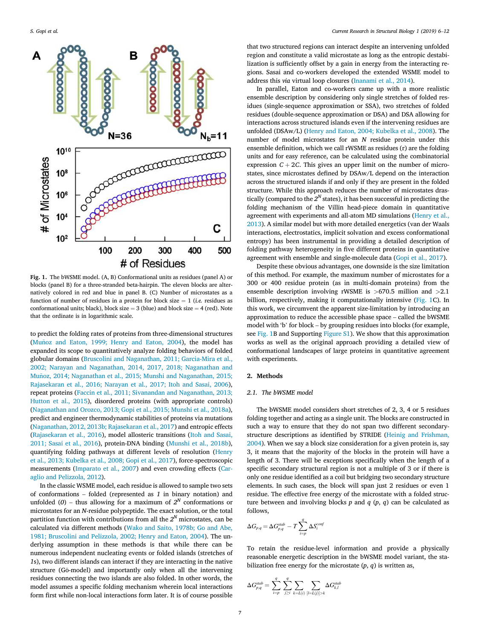

Fig. 1. The bWSME model. (A, B) Conformational units as residues (panel A) or blocks (panel B) for a three-stranded beta-hairpin. The eleven blocks are alternatively colored in red and blue in panel B. (C) Number of microstates as a function of number of residues in a protein for block size  $= 1$  (*i.e.* residues as conformational units; black), block size  $=$  3 (blue) and block size  $=$  4 (red). Note that the ordinate is in logarithmic scale.

to predict the folding rates of proteins from three-dimensional structures (Muñoz and Eaton, 1999; Henry and Eaton, 2004), the model has expanded its scope to quantitatively analyze folding behaviors of folded globular domains (Bruscolini and Naganathan, 2011; Garcia-Mira et al., 2002; Narayan and Naganathan, 2014, 2017, 2018; Naganathan and Muñoz, 2014; Naganathan et al., 2015; Munshi and Naganathan, 2015; Rajasekaran et al., 2016; Narayan et al., 2017; Itoh and Sasai, 2006), repeat proteins (Faccin et al., 2011; Sivanandan and Naganathan, 2013; Hutton et al., 2015), disordered proteins (with appropriate controls) (Naganathan and Orozco, 2013; Gopi et al., 2015; Munshi et al., 2018a), predict and engineer thermodynamic stabilities of proteins via mutations (Naganathan, 2012, 2013b; Rajasekaran et al., 2017) and entropic effects (Rajasekaran et al., 2016), model allosteric transitions (Itoh and Sasai, 2011; Sasai et al., 2016), protein-DNA binding (Munshi et al., 2018b), quantifying folding pathways at different levels of resolution (Henry et al., 2013; Kubelka et al., 2008; Gopi et al., 2017), force-spectroscopic measurements (Imparato et al., 2007) and even crowding effects (Caraglio and Pelizzola, 2012).

In the classic WSME model, each residue is allowed to sample two sets of conformations – folded (represented as *1* in binary notation) and unfolded (0) – thus allowing for a maximum of  $2^N$  conformations or microstates for an *N*-residue polypeptide. The exact solution, or the total partition function with contributions from all the  $2^N$  microstates, can be calculated via different methods (Wako and Saito, 1978b; Go and Abe, 1981; Bruscolini and Pelizzola, 2002; Henry and Eaton, 2004). The underlying assumption in these methods is that while there can be numerous independent nucleating events or folded islands (stretches of *1*s), two different islands can interact if they are interacting in the native structure (Gō-model) and importantly only when all the intervening residues connecting the two islands are also folded. In other words, the model assumes a specific folding mechanism wherein local interactions form first while non-local interactions form later. It is of course possible

that two structured regions can interact despite an intervening unfolded region and constitute a valid microstate as long as the entropic destabilization is sufficiently offset by a gain in energy from the interacting regions. Sasai and co-workers developed the extended WSME model to address this *via* virtual loop closures (Inanami et al., 2014).

In parallel, Eaton and co-workers came up with a more realistic ensemble description by considering only single stretches of folded residues (single-sequence approximation or SSA), two stretches of folded residues (double-sequence approximation or DSA) and DSA allowing for interactions across structured islands even if the intervening residues are unfolded (DSAw/L) (Henry and Eaton, 2004; Kubelka et al., 2008). The number of model microstates for an *N* residue protein under this ensemble definition, which we call rWSME as residues (r) are the folding units and for easy reference, can be calculated using the combinatorial expression  $C + 2C$ . This gives an upper limit on the number of microstates, since microstates defined by DSAw/L depend on the interaction across the structured islands if and only if they are present in the folded structure. While this approach reduces the number of microstates drastically (compared to the  $2<sup>N</sup>$  states), it has been successful in predicting the folding mechanism of the Villin head-piece domain in quantitative agreement with experiments and all-atom MD simulations (Henry et al., 2013). A similar model but with more detailed energetics (van der Waals interactions, electrostatics, implicit solvation and excess conformational entropy) has been instrumental in providing a detailed description of folding pathway heterogeneity in five different proteins in quantitative agreement with ensemble and single-molecule data (Gopi et al., 2017).

Despite these obvious advantages, one downside is the size limitation of this method. For example, the maximum number of microstates for a 300 or 400 residue protein (as in multi-domain proteins) from the ensemble description involving rWSME is >670.5 million and >2.1 billion, respectively, making it computationally intensive (Fig. 1C). In this work, we circumvent the apparent size-limitation by introducing an approximation to reduce the accessible phase space – called the bWSME model with 'b' for block – by grouping residues into blocks (for example, see Fig. 1B and Supporting Figure S1). We show that this approximation works as well as the original approach providing a detailed view of conformational landscapes of large proteins in quantitative agreement with experiments.

# 2. Methods

#### *2.1. The bWSME model*

The bWSME model considers short stretches of 2, 3, 4 or 5 residues folding together and acting as a single unit. The blocks are constructed in such a way to ensure that they do not span two different secondarystructure descriptions as identified by STRIDE (Heinig and Frishman, 2004). When we say a block size consideration for a given protein is, say 3, it means that the majority of the blocks in the protein will have a length of 3. There will be exceptions specifically when the length of a specific secondary structural region is not a multiple of 3 or if there is only one residue identified as a coil but bridging two secondary structure elements. In such cases, the block will span just 2 residues or even 1 residue. The effective free energy of the microstate with a folded structure between and involving blocks *p* and *q* (*p*, *q*) can be calculated as follows,

$$
\Delta G_{p,q} = \Delta G_{p,q}^{stab} - T \sum_{i=p}^{q} \Delta S_i^{conj}
$$

To retain the residue-level information and provide a physically reasonable energetic description in the bWSME model variant, the stabilization free energy for the microstate  $(p, q)$  is written as,

$$
\Delta G_{p,q}^{stab} = \sum_{i=p}^q \sum_{j \geq i}^q \sum_{k=L(i)} \sum_{[l=L(j)] > k} \Delta G_{k,l}^{stab}
$$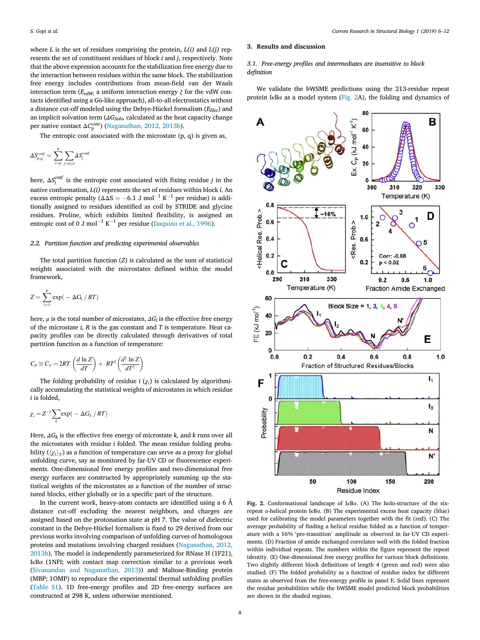where *L* is the set of residues comprising the protein, *L(i)* and *L(j)* represents the set of constituent residues of block *i* and *j*, respectively. Note that the above expression accounts for the stabilization free energy due to the interaction between residues within the same block. The stabilization free energy includes contributions from mean-field van der Waals interaction term ( $E_{vdW}$ ; a uniform interaction energy  $\xi$  for the vdW contacts identified using a Gō-like approach), all-to-all electrostatics without a distance cut-off modeled using the Debye-Hückel formalism (*EElec*) and an implicit solvation term (Δ*GSolv,* calculated as the heat capacity change per native contact Δ $C_p^{cont}$ ) (Naganathan, 2012, 2013b).

The entropic cost associated with the microstate  $(p, q)$  is given as,

$$
\Delta S_{p,q}^{conf} = \sum_{i=p}^{q} \sum_{j=L(i)} \Delta S_{j}^{conf}
$$

here,  $\Delta S_j^{conf}$  is the entropic cost associated with fixing residue *j* in the native conformation, *L(i)* represents the set of residues within block *i*. An excess entropic penalty ( $\Delta \Delta S = -6.1$  J mol $^{-1}$  K $^{-1}$  per residue) is additionally assigned to residues identified as coil by STRIDE and glycine residues. Proline, which exhibits limited flexibility, is assigned an entropic cost of 0 J mol<sup>-1</sup> K<sup>-1</sup> per residue (Daquino et al., 1996).

# *2.2. Partition function and predicting experimental observables*

The total partition function (*Z*) is calculated as the sum of statistical weights associated with the microstates defined within the model framework,

$$
Z = \sum_{i=1}^{\mu} \exp(-\Delta G_i / RT)
$$

here,  $\mu$  is the total number of microstates,  $\varDelta G_{l}$  is the effective free energy of the microstate *i*, *R* is the gas constant and *T* is temperature. Heat capacity profiles can be directly calculated through derivatives of total partition function as a function of temperature:

$$
C_P \cong C_V = 2RT \left( \frac{d \ln Z}{dT} \right) + RT^2 \left( \frac{d^2 \ln Z}{dT^2} \right)
$$

The folding probability of residue *i* (χ*<sup>i</sup>* ) is calculated by algorithmically accumulating the statistical weights of microstates in which residue *i* is folded,

$$
\chi_i = Z^{-1} \sum_k \exp(-\Delta G_k / RT)
$$

Here, Δ*G<sup>k</sup>* is the effective free energy of microstate *k,* and *k* runs over all the microstates with residue *i* folded. The mean residue folding probability ( $\langle \chi_i \rangle_T$ ) as a function of temperature can serve as a proxy for global unfolding curve, say as monitored by far-UV CD or fluorescence experiments. One-dimensional free energy profiles and two-dimensional free energy surfaces are constructed by appropriately summing up the statistical weights of the microstates as a function of the number of structured blocks, either globally or in a specific part of the structure.

In the current work, heavy-atom contacts are identified using a 6 Å distance cut-off excluding the nearest neighbors, and charges are assigned based on the protonation state at pH 7. The value of dielectric constant in the Debye-Hückel formalism is fixed to 29 derived from our previous works involving comparison of unfolding curves of homologous proteins and mutations involving charged residues (Naganathan, 2012, 2013b). The model is independently parameterized for RNase H (1F21), IκBα (1NFI; with contact map correction similar to a previous work (Sivanandan and Naganathan, 2013)) and Maltose-Binding protein (MBP; 1OMP) to reproduce the experimental thermal unfolding profiles (Table S1). 1D free-energy profiles and 2D free-energy surfaces are constructed at 298 K, unless otherwise mentioned.

# 3. Results and discussion

*3.1. Free-energy pro*fi*les and intermediates are insensitive to block de*fi*nition*

We validate the bWSME predictions using the 213-residue repeat protein I $\kappa$ B $\alpha$  as a model system (Fig. 2A), the folding and dynamics of



Fig. 2. Conformational landscape of IκBα. (A) The holo-structure of the sixrepeat α-helical protein IκBα. (B) The experimental excess heat capacity (blue) used for calibrating the model parameters together with the fit (red). (C) The average probability of finding a helical residue folded as a function of temperature with a 16% 'pre-transition' amplitude as observed in far-UV CD experiments. (D) Fraction of amide exchanged correlates well with the folded fraction within individual repeats. The numbers within the figure represent the repeat identity. (E) One-dimensional free energy profiles for various block definitions. Two slightly different block definitions of length 4 (green and red) were also studied. (F) The folded probability as a function of residue index for different states as observed from the free-energy profile in panel E. Solid lines represent the residue probabilities while the bWSME model predicted block probabilities are shown in the shaded regions.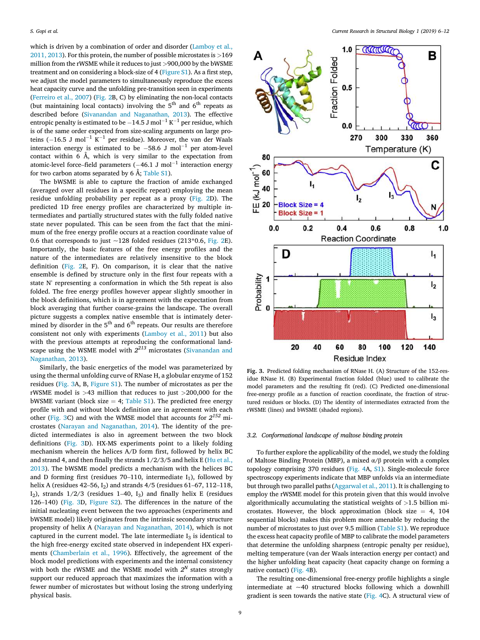which is driven by a combination of order and disorder (Lamboy et al., 2011, 2013). For this protein, the number of possible microstates is >169 million from the rWSME while it reduces to just >900,000 by the bWSME treatment and on considering a block-size of 4 (Figure S1). As a first step, we adjust the model parameters to simultaneously reproduce the excess heat capacity curve and the unfolding pre-transition seen in experiments (Ferreiro et al., 2007) (Fig. 2B, C) by eliminating the non-local contacts (but maintaining local contacts) involving the  $5<sup>th</sup>$  and  $6<sup>th</sup>$  repeats as described before (Sivanandan and Naganathan, 2013). The effective entropic penalty is estimated to be  $-14.5$  J mol $^{-1}$  K $^{-1}$  per residue, which is of the same order expected from size-scaling arguments on large proteins ( $-16.5$  J mol $^{-1}$  K $^{-1}$  per residue). Moreover, the van der Waals interaction energy is estimated to be  $-58.6$  J mol $^{-1}$  per atom-level contact within 6 Å, which is very similar to the expectation from atomic-level force–field parameters ( $-46.1$  J mol $^{-1}$  interaction energy for two carbon atoms separated by  $6 \text{ Å}$ ; Table S1).

The bWSME is able to capture the fraction of amide exchanged (averaged over all residues in a specific repeat) employing the mean residue unfolding probability per repeat as a proxy (Fig. 2D). The predicted 1D free energy profiles are characterized by multiple intermediates and partially structured states with the fully folded native state never populated. This can be seen from the fact that the minimum of the free energy profile occurs at a reaction coordinate value of 0.6 that corresponds to just  $\sim$  128 folded residues (213\*0.6, Fig. 2E). Importantly, the basic features of the free energy profiles and the nature of the intermediates are relatively insensitive to the block definition (Fig. 2E, F). On comparison, it is clear that the native ensemble is defined by structure only in the first four repeats with a state N' representing a conformation in which the 5th repeat is also folded. The free energy profiles however appear slightly smoother in the block definitions, which is in agreement with the expectation from block averaging that further coarse-grains the landscape. The overall picture suggests a complex native ensemble that is intimately determined by disorder in the  $5<sup>th</sup>$  and  $6<sup>th</sup>$  repeats. Our results are therefore consistent not only with experiments (Lamboy et al., 2011) but also with the previous attempts at reproducing the conformational landscape using the WSME model with *2 <sup>213</sup>* microstates (Sivanandan and Naganathan, 2013).

Similarly, the basic energetics of the model was parameterized by using the thermal unfolding curve of RNase H, a globular enzyme of 152 residues (Fig. 3A, B, Figure S1). The number of microstates as per the rWSME model is >43 million that reduces to just >200,000 for the bWSME variant (block size  $= 4$ ; Table S1). The predicted free energy profile with and without block definition are in agreement with each other (Fig. 3C) and with the WMSE model that accounts for  $2^{152}$  microstates (Narayan and Naganathan, 2014). The identity of the predicted intermediates is also in agreement between the two block definitions (Fig. 3D). HX-MS experiments point to a likely folding mechanism wherein the helices A/D form first, followed by helix BC and strand 4, and then finally the strands  $1/2/3/5$  and helix E (Hu et al., 2013). The bWSME model predicts a mechanism with the helices BC and D forming first (residues 70–110, intermediate  $I_1$ ), followed by helix A (residues 42–56,  $I_2$ ) and strands 4/5 (residues 61–67, 112–118, I<sub>2</sub>), strands  $1/2/3$  (residues 1–40, I<sub>3</sub>) and finally helix E (residues 126–140) (Fig. 3D, Figure S2). The differences in the nature of the initial nucleating event between the two approaches (experiments and bWSME model) likely originates from the intrinsic secondary structure propensity of helix A (Narayan and Naganathan, 2014), which is not captured in the current model. The late intermediate  $I_3$  is identical to the high free-energy excited state observed in independent HX experiments (Chamberlain et al., 1996). Effectively, the agreement of the block model predictions with experiments and the internal consistency with both the rWSME and the WSME model with  $2^N$  states strongly support our reduced approach that maximizes the information with a fewer number of microstates but without losing the strong underlying physical basis.



Fig. 3. Predicted folding mechanism of RNase H. (A) Structure of the 152-residue RNase H. (B) Experimental fraction folded (blue) used to calibrate the model parameters and the resulting fit (red). (C) Predicted one-dimensional free-energy profile as a function of reaction coordinate, the fraction of structured residues or blocks. (D) The identity of intermediates extracted from the rWSME (lines) and bWSME (shaded regions).

# *3.2. Conformational landscape of maltose binding protein*

To further explore the applicability of the model, we study the folding of Maltose Binding Protein (MBP), a mixed  $\alpha/\beta$  protein with a complex topology comprising 370 residues (Fig. 4A, S1). Single-molecule force spectroscopy experiments indicate that MBP unfolds via an intermediate but through two parallel paths (Aggarwal et al., 2011). It is challenging to employ the rWSME model for this protein given that this would involve algorithmically accumulating the statistical weights of >1.5 billion microstates. However, the block approximation (block size  $= 4, 104$ sequential blocks) makes this problem more amenable by reducing the number of microstates to just over 9.5 million (Table S1). We reproduce the excess heat capacity profile of MBP to calibrate the model parameters that determine the unfolding sharpness (entropic penalty per residue), melting temperature (van der Waals interaction energy per contact) and the higher unfolding heat capacity (heat capacity change on forming a native contact) (Fig. 4B).

The resulting one-dimensional free-energy profile highlights a single intermediate at  $\sim$ 40 structured blocks following which a downhill gradient is seen towards the native state (Fig. 4C). A structural view of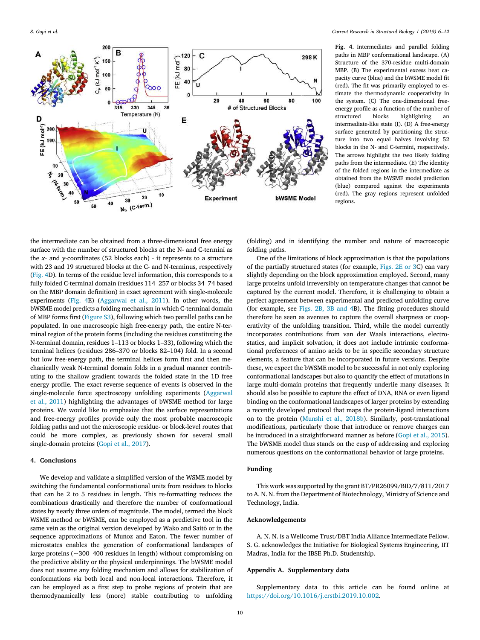

Fig. 4. Intermediates and parallel folding paths in MBP conformational landscape. (A) Structure of the 370-residue multi-domain MBP. (B) The experimental excess heat capacity curve (blue) and the bWSME model fit (red). The fit was primarily employed to estimate the thermodynamic cooperativity in the system. (C) The one-dimensional freeenergy profile as a function of the number of structured blocks highlighting an intermediate-like state (I). (D) A free-energy surface generated by partitioning the structure into two equal halves involving 52 blocks in the N- and C-termini, respectively. The arrows highlight the two likely folding paths from the intermediate. (E) The identity of the folded regions in the intermediate as obtained from the bWSME model prediction (blue) compared against the experiments (red). The gray regions represent unfolded regions.

the intermediate can be obtained from a three-dimensional free energy surface with the number of structured blocks at the N- and C-termini as the *x*- and *y*-coordinates (52 blocks each) - it represents to a structure with 23 and 19 structured blocks at the C- and N-terminus, respectively (Fig. 4D). In terms of the residue level information, this corresponds to a fully folded C-terminal domain (residues 114–257 or blocks 34–74 based on the MBP domain definition) in exact agreement with single-molecule experiments (Fig. 4E) (Aggarwal et al., 2011). In other words, the bWSME model predicts a folding mechanism in which C-terminal domain of MBP forms first (Figure S3), following which two parallel paths can be populated. In one macroscopic high free-energy path, the entire N-terminal region of the protein forms (including the residues constituting the N-terminal domain, residues 1–113 or blocks 1–33), following which the terminal helices (residues 286–370 or blocks 82–104) fold. In a second but low free-energy path, the terminal helices form first and then mechanically weak N-terminal domain folds in a gradual manner contributing to the shallow gradient towards the folded state in the 1D free energy profile. The exact reverse sequence of events is observed in the single-molecule force spectroscopy unfolding experiments (Aggarwal et al., 2011) highlighting the advantages of bWSME method for large proteins. We would like to emphasize that the surface representations and free-energy profiles provide only the most probable macroscopic folding paths and not the microscopic residue- or block-level routes that could be more complex, as previously shown for several small single-domain proteins (Gopi et al., 2017).

#### 4. Conclusions

We develop and validate a simplified version of the WSME model by switching the fundamental conformational units from residues to blocks that can be 2 to 5 residues in length. This re-formatting reduces the combinations drastically and therefore the number of conformational states by nearly three orders of magnitude. The model, termed the block WSME method or bWSME, can be employed as a predictive tool in the same vein as the original version developed by Wako and Saitô or in the sequence approximations of Muñoz and Eaton. The fewer number of microstates enables the generation of conformational landscapes of large proteins (~300–400 residues in length) without compromising on the predictive ability or the physical underpinnings. The bWSME model does not assume any folding mechanism and allows for stabilization of conformations *via* both local and non-local interactions. Therefore, it can be employed as a first step to probe regions of protein that are thermodynamically less (more) stable contributing to unfolding (folding) and in identifying the number and nature of macroscopic folding paths.

One of the limitations of block approximation is that the populations of the partially structured states (for example, Figs. 2E or 3C) can vary slightly depending on the block approximation employed. Second, many large proteins unfold irreversibly on temperature changes that cannot be captured by the current model. Therefore, it is challenging to obtain a perfect agreement between experimental and predicted unfolding curve (for example, see Figs. 2B, 3B and 4B). The fitting procedures should therefore be seen as avenues to capture the overall sharpness or cooperativity of the unfolding transition. Third, while the model currently incorporates contributions from van der Waals interactions, electrostatics, and implicit solvation, it does not include intrinsic conformational preferences of amino acids to be in specific secondary structure elements, a feature that can be incorporated in future versions. Despite these, we expect the bWSME model to be successful in not only exploring conformational landscapes but also to quantify the effect of mutations in large multi-domain proteins that frequently underlie many diseases. It should also be possible to capture the effect of DNA, RNA or even ligand binding on the conformational landscapes of larger proteins by extending a recently developed protocol that maps the protein-ligand interactions on to the protein (Munshi et al., 2018b). Similarly, post-translational modifications, particularly those that introduce or remove charges can be introduced in a straightforward manner as before (Gopi et al., 2015). The bWSME model thus stands on the cusp of addressing and exploring numerous questions on the conformational behavior of large proteins.

# Funding

This work was supported by the grant BT/PR26099/BID/7/811/2017 to A. N. N. from the Department of Biotechnology, Ministry of Science and Technology, India.

#### Acknowledgements

A. N. N. is a Wellcome Trust/DBT India Alliance Intermediate Fellow. S. G. acknowledges the Initiative for Biological Systems Engineering, IIT Madras, India for the IBSE Ph.D. Studentship.

# Appendix A. Supplementary data

Supplementary data to this article can be found online at https://doi.org/10.1016/j.crstbi.2019.10.002.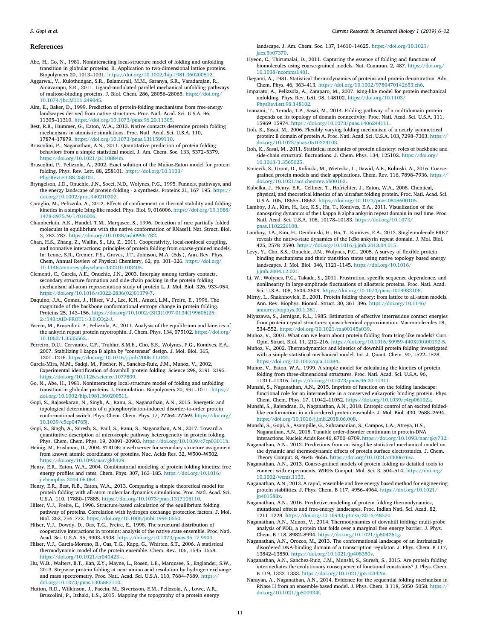## References

- Abe, H., Go, N., 1981. Noninteracting local-structure model of folding and unfolding transition in globular proteins. II. Application to two-dimensional lattice proteins. Biopolymers 20, 1013–1031. https://doi.org/10.1002/bip.1981.360200512.
- Aggarwal, V., Kulothungan, S.R., Balamurali, M.M., Saranya, S.R., Varadarajan, R., Ainavarapu, S.R., 2011. Ligand-modulated parallel mechanical unfolding pathways of maltose-binding proteins. J. Biol. Chem. 286, 28056–28065. https://doi.org/ 10.1074/jbc.M111.249045.
- Alm, E., Baker, D., 1999. Prediction of protein-folding mechanisms from free-energy landscapes derived from native structures. Proc. Natl. Acad. Sci. U.S.A. 96, 11305–11310. https://doi.org/10.1073/pnas.96.20.11305.
- Best, R.B., Hummer, G., Eaton, W.A., 2013. Native contacts determine protein folding mechanisms in atomistic simulations. Proc. Natl. Acad. Sci. U.S.A. 110, 17874–17879. https://doi.org/10.1073/pnas.1311599110.
- Bruscolini, P., Naganathan, A.N., 2011. Quantitative prediction of protein folding behaviors from a simple statistical model. J. Am. Chem. Soc. 133, 5372–5379. https://doi.org/10.1021/ja110884m.
- Bruscolini, P., Pelizzola, A., 2002. Exact solution of the Munoz-Eaton model for protein ~ folding. Phys. Rev. Lett. 88, 258101. https://doi.org/10.1103/ PhysRevLett.88.258101.
- Bryngelson, J.D., Onuchic, J.N., Socci, N.D., Wolynes, P.G., 1995. Funnels, pathways, and the energy landscape of protein-folding - a synthesis. Proteins 21, 167–195. https:// doi.org/10.1002/prot.340210302.
- Caraglio, M., Pelizzola, A., 2012. Effects of confinement on thermal stability and folding kinetics in a simple Ising-like model. Phys. Biol. 9, 016006. https://doi.org/10.1088/ 1478-3975/9/1/016006.
- Chamberlain, A.K., Handel, T.M., Marqusee, S., 1996. Detection of rare partially folded molecules in equilibrium with the native conformation of RNaseH. Nat. Struct. Biol. 3, 782–787. https://doi.org/10.1038/nsb0996-782.
- Chan, H.S., Zhang, Z., Wallin, S., Liu, Z., 2011. Cooperativity, local-nonlocal coupling, and nonnative interactions: principles of protein folding from coarse-grained models. In: Leone, S.R., Cremer, P.S., Groves, J.T., Johnson, M.A. (Eds.), Ann. Rev. Phys. Chem, Annual Review of Physical Chemistry, 62, pp. 301–326. https://doi.org/ 10.1146/annurev-physchem-032210-103405.
- Clementi, C., Garcia, A.E., Onuchic, J.N., 2003. Interplay among tertiary contacts, secondary structure formation and side-chain packing in the protein folding mechanism: all-atom representation study of protein L. J. Mol. Biol. 326, 933–954. https://doi.org/10.1016/s0022-2836(02)01379-7.
- Daquino, J.A., Gomez, J., Hilser, V.J., Lee, K.H., Amzel, L.M., Freire, E., 1996. The magnitude of the backbone conformational entropy change in protein folding. Proteins 25, 143–156. https://doi.org/10.1002/(SICI)1097-0134(199606)25: 2<143::AID-PROT1>3.0.CO;2-J.
- Faccin, M., Bruscolini, P., Pelizzola, A., 2011. Analysis of the equilibrium and kinetics of the ankyrin repeat protein myotrophin. J. Chem. Phys. 134, 075102. https://doi.org/ 10.1063/1.3535562.
- Ferreiro, D.U., Cervantes, C.F., Truhlar, S.M.E., Cho, S.S., Wolynes, P.G., Komives, E.A., 2007. Stabilizing I kappa B alpha by "consensus" design. J. Mol. Biol. 365, 1201–1216. https://doi.org/10.1016/j.jmb.2006.11.044.
- Garcia-Mira, M.M., Sadqi, M., Fischer, N., Sanchez-Ruiz, J.M., Munoz, V., 2002. ~ Experimental identification of downhill protein folding. Science 298, 2191–2195. https://doi.org/10.1126/science.1077809.
- Go, N., Abe, H., 1981. Noninteracting local-structure model of folding and unfolding transition in globular proteins. I. Formulation. Biopolymers 20, 991–1011. https:// doi.org/10.1002/bip.1981.360200511.
- Gopi, S., Rajasekaran, N., Singh, A., Ranu, S., Naganathan, A.N., 2015. Energetic and topological determinants of a phosphorylation-induced disorder-to-order protein conformational switch. Phys. Chem. Chem. Phys. 17, 27264–27269. https://doi.org/ 10.1039/c5cp04765j.
- Gopi, S., Singh, A., Suresh, S., Paul, S., Ranu, S., Naganathan, A.N., 2017. Toward a quantitative description of microscopic pathway heterogeneity in protein folding. Phys. Chem. Chem. Phys. 19, 20891–20903. https://doi.org/10.1039/c7cp03011h.
- Heinig, M., Frishman, D., 2004. STRIDE: a web server for secondary structure assignment from known atomic coordinates of proteins. Nuc. Acids Res. 32, W500–W502. https://doi.org/10.1093/nar/gkh429.
- Henry, E.R., Eaton, W.A., 2004. Combinatorial modeling of protein folding kinetics: free energy profiles and rates. Chem. Phys. 307, 163-185. https://doi.org/10.1016/ j.chemphys.2004.06.064.
- Henry, E.R., Best, R.B., Eaton, W.A., 2013. Comparing a simple theoretical model for protein folding with all-atom molecular dynamics simulations. Proc. Natl. Acad. Sci. U.S.A. 110, 17880–17885. https://doi.org/10.1073/pnas.1317105110.
- Hilser, V.J., Freire, E., 1996. Structure-based calculation of the equilibrium folding pathway of proteins. Correlation with hydrogen exchange protection factors. J. Mol. Biol. 262, 756–772. https://doi.org/10.1006/jmbi.1996.0550.
- Hilser, V.J., Dowdy, D., Oas, T.G., Freire, E., 1998. The structural distribution of cooperative interactions in proteins: analysis of the native state ensemble. Proc. Natl. Acad. Sci. U.S.A. 95, 9903–9908. https://doi.org/10.1073/pnas.95.17.9903.
- Hilser, V.J., Garcia-Moreno, B., Oas, T.G., Kapp, G., Whitten, S.T., 2006. A statistical thermodynamic model of the protein ensemble. Chem. Rev. 106, 1545–1558. https://doi.org/10.1021/cr040423+.
- Hu, W.B., Walters, B.T., Kan, Z.Y., Mayne, L., Rosen, L.E., Marqusee, S., Englander, S.W., 2013. Stepwise protein folding at near amino acid resolution by hydrogen exchange and mass spectrometry. Proc. Natl. Acad. Sci. U.S.A. 110, 7684–7689. https:// doi.org/10.1073/pnas.1305887110.
- Hutton, R.D., Wilkinson, J., Faccin, M., Sivertsson, E.M., Pelizzola, A., Lowe, A.R., Bruscolini, P., Itzhaki, L.S., 2015. Mapping the topography of a protein energy

landscape. J. Am. Chem. Soc. 137, 14610–14625. https://doi.org/10.1021/ jacs.5b07370.

- Hyeon, C., Thirumalai, D., 2011. Capturing the essence of folding and functions of biomolecules using coarse-grained models. Nat. Commun. 2, 487. https://doi.org/ 10.1038/ncomms1481.
- Ikegami, A., 1981. Statistical thermodynamics of proteins and protein denaturation. Adv. Chem. Phys. 46, 363–413. https://doi.org/10.1002/9780470142653.ch6.
- Imparato, A., Pelizzola, A., Zamparo, M., 2007. Ising-like model for protein mechanical unfolding. Phys. Rev. Lett. 98, 148102. https://doi.org/10.1103/ PhysRevLett.98.148102.
- Inanami, T., Terada, T.P., Sasai, M., 2014. Folding pathway of a multidomain protein depends on its topology of domain connectivity. Proc. Natl. Acad. Sci. U.S.A. 111, 15969–15974. https://doi.org/10.1073/pnas.1406244111.
- Itoh, K., Sasai, M., 2006. Flexibly varying folding mechanism of a nearly symmetrical protein: B domain of protein A. Proc. Natl. Acad. Sci. U.S.A. 103, 7298–7303. https:// doi.org/10.1073/pnas.0510324103.
- Itoh, K., Sasai, M., 2011. Statistical mechanics of protein allostery: roles of backbone and side-chain structural fluctuations. J. Chem. Phys. 134, 125102. https://doi.org/ 10.1063/1.3565025.
- Kmiecik, S., Gront, D., Kolinski, M., Wieteska, L., Dawid, A.E., Kolinski, A., 2016. Coarsegrained protein models and their applications. Chem. Rev. 116, 7898–7936. https:// doi.org/10.1021/acs.chemrev.6b00163.
- Kubelka, J., Henry, E.R., Cellmer, T., Hofrichter, J., Eaton, W.A., 2008. Chemical, physical, and theoretical kinetics of an ultrafast folding protein. Proc. Natl. Acad. Sci. U.S.A. 105, 18655–18662. https://doi.org/10.1073/pnas.0808600105.
- Lamboy, J.A., Kim, H., Lee, K.S., Ha, T., Komives, E.A., 2011. Visualization of the nanospring dynamics of the I kappa B alpha ankyrin repeat domain in real time. Proc. Natl. Acad. Sci. U.S.A. 108, 10178–10183. https://doi.org/10.1073/ pnas.1102226108.
- Lamboy, J.A., Kim, H., Dembinski, H., Ha, T., Komives, E.A., 2013. Single-molecule FRET reveals the native-state dynamics of the IκBα ankyrin repeat domain. J. Mol. Biol. 425, 2578–2590. https://doi.org/10.1016/j.jmb.2013.04.015.
- Levy, Y., Cho, S.S., Onuchic, J.N., Wolynes, P.G., 2005. A survey of flexible protein binding mechanisms and their transition states using native topology based energy landscapes. J. Mol. Biol. 346, 1121–1145. https://doi.org/10.1016/ j.jmb.2004.12.021.
- Li, W., Wolynes, P.G., Takada, S., 2011. Frustration, specific sequence dependence, and nonlinearity in large-amplitude fluctuations of allosteric proteins. Proc. Natl. Acad. Sci. U.S.A. 108, 3504–3509. https://doi.org/10.1073/pnas.1018983108.
- Mirny, L., Shakhnovich, E., 2001. Protein folding theory: from lattice to all-atom models. Ann. Rev. Biophys. Biomol. Struct. 30, 361–396. https://doi.org/10.1146/ annurev.biophys.30.1.361.
- Miyazawa, S., Jernigan, R.L., 1985. Estimation of effective interresidue contact energies from protein crystal structures: quasi-chemical approximation. Macromolecules 18, 534–552. https://doi.org/10.1021/ma00145a039.
- Muñoz, V., 2001. What can we learn about protein folding from Ising-like models? Curr. Opin. Struct. Biol. 11, 212–216. https://doi.org/10.1016/S0959-440X(00)00192-5.
- Munoz, V., 2002. Thermodynamics and kinetics of downhill protein folding investigated ~ with a simple statistical mechanical model. Int. J. Quant. Chem. 90, 1522–1528. https://doi.org/10.1002/qua.10384.
- Muñoz, V., Eaton, W.A., 1999. A simple model for calculating the kinetics of protein folding from three-dimensional structures. Proc. Natl. Acad. Sci. U.S.A. 96, 11311–11316. https://doi.org/10.1073/pnas.96.20.11311.
- Munshi, S., Naganathan, A.N., 2015. Imprints of function on the folding landscape: functional role for an intermediate in a conserved eukaryotic binding protein. Phys. Chem. Chem. Phys. 17, 11042–11052. https://doi.org/10.1039/c4cp06102k.
- Munshi, S., Rajendran, D., Naganathan, A.N., 2018. Entropic control of an excited foldedlike conformation in a disordered protein ensemble. J. Mol. Biol. 430, 2688–2694. https://doi.org/10.1016/j.jmb.2018.06.008.
- Munshi, S., Gopi, S., Asampille, G., Subramanian, S., Campos, L.A., Atreya, H.S., Naganathan, A.N., 2018. Tunable order-disorder continuum in protein-DNA interactions. Nucleic Acids Res 46, 8700–8709. https://doi.org/10.1093/nar/gky732.
- Naganathan, A.N., 2012. Predictions from an ising-like statistical mechanical model on the dynamic and thermodynamic effects of protein surface electrostatics. J. Chem. Theory Comput. 8, 4646–4656. https://doi.org/10.1021/ct300676w.
- Naganathan, A.N., 2013. Coarse-grained models of protein folding as detailed tools to connect with experiments. WIREs Comput. Mol. Sci. 3, 504–514. https://doi.org/ 10.1002/wcms.1133.
- Naganathan, A.N., 2013. A rapid, ensemble and free energy based method for engineering protein stabilities. J. Phys. Chem. B 117, 4956–4964. https://doi.org/10.1021/ jp401588x.
- Naganathan, A.N., 2016. Predictive modeling of protein folding thermodynamics, mutational effects and free-energy landscapes. Proc. Indian Natl. Sci. Acad. 82, 1211–1228. https://doi.org/10.16943/ptinsa/2016/48570.
- Naganathan, A.N., Munoz, V., 2014. Thermodynamics of downhill folding: multi-probe ~ analysis of PDD, a protein that folds over a marginal free energy barrier. J. Phys. Chem. B 118, 8982–8994. https://doi.org/10.1021/jp504261g.
- Naganathan, A.N., Orozco, M., 2013. The conformational landscape of an intrinsically disordered DNA-binding domain of a transcription regulator. J. Phys. Chem. B 117, 13842–13850. https://doi.org/10.1021/jp408350v.
- Naganathan, A.N., Sanchez-Ruiz, J.M., Munshi, S., Suresh, S., 2015. Are protein folding intermediates the evolutionary consequence of functional constraints? J. Phys. Chem. B 119, 1323–1333. https://doi.org/10.1021/jp510342m.
- Narayan, A., Naganathan, A.N., 2014. Evidence for the sequential folding mechanism in RNase H from an ensemble-based model. J. Phys. Chem. B 118, 5050–5058. https:// doi.org/10.1021/jp500934f.